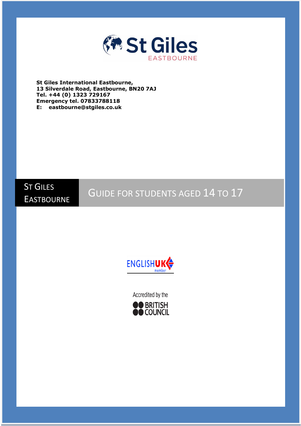

**St Giles International Eastbourne, 13 Silverdale Road, Eastbourne, BN20 7AJ Tel. +44 (0) 1323 729167 Emergency tel. 07833788118 E: eastbourne@stgiles.co.uk**



GUIDE FOR STUDENTS AGED 14 TO 17



Accredited by the

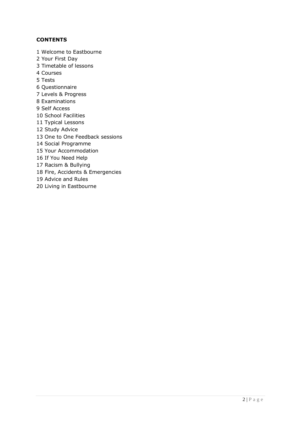## **CONTENTS**

1 Welcome to Eastbourne 2 Your First Day 3 Timetable of lessons 4 Courses 5 Tests 6 Questionnaire 7 Levels & Progress 8 Examinations 9 Self Access 10 School Facilities 11 Typical Lessons 12 Study Advice 13 One to One Feedback sessions 14 Social Programme 15 Your Accommodation 16 If You Need Help 17 Racism & Bullying 18 Fire, Accidents & Emergencies 19 Advice and Rules 20 Living in Eastbourne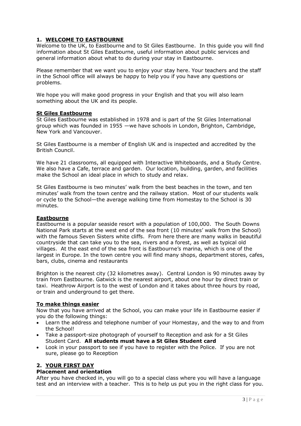### **1. WELCOME TO EASTBOURNE**

Welcome to the UK, to Eastbourne and to St Giles Eastbourne. In this guide you will find information about St Giles Eastbourne, useful information about public services and general information about what to do during your stay in Eastbourne.

Please remember that we want you to enjoy your stay here. Your teachers and the staff in the School office will always be happy to help you if you have any questions or problems.

We hope you will make good progress in your English and that you will also learn something about the UK and its people.

### **St Giles Eastbourne**

St Giles Eastbourne was established in 1978 and is part of the St Giles International group which was founded in 1955 —we have schools in London, Brighton, Cambridge, New York and Vancouver.

St Giles Eastbourne is a member of English UK and is inspected and accredited by the British Council.

We have 21 classrooms, all equipped with Interactive Whiteboards, and a Study Centre. We also have a Cafe, terrace and garden. Our location, building, garden, and facilities make the School an ideal place in which to study and relax.

St Giles Eastbourne is two minutes' walk from the best beaches in the town, and ten minutes' walk from the town centre and the railway station. Most of our students walk or cycle to the School—the average walking time from Homestay to the School is 30 minutes.

### **Eastbourne**

Eastbourne is a popular seaside resort with a population of 100,000. The South Downs National Park starts at the west end of the sea front (10 minutes' walk from the School) with the famous Seven Sisters white cliffs. From here there are many walks in beautiful countryside that can take you to the sea, rivers and a forest, as well as typical old villages. At the east end of the sea front is Eastbourne's marina, which is one of the largest in Europe. In the town centre you will find many shops, department stores, cafes, bars, clubs, cinema and restaurants

Brighton is the nearest city (32 kilometres away). Central London is 90 minutes away by train from Eastbourne. Gatwick is the nearest airport, about one hour by direct train or taxi. Heathrow Airport is to the west of London and it takes about three hours by road, or train and underground to get there.

### **To make things easier**

Now that you have arrived at the School, you can make your life in Eastbourne easier if you do the following things:

- Learn the address and telephone number of your Homestay, and the way to and from the School!
- Take a passport-size photograph of yourself to Reception and ask for a St Giles Student Card. **All students must have a St Giles Student card**
- Look in your passport to see if you have to register with the Police. If you are not sure, please go to Reception

### **2. YOUR FIRST DAY**

### **Placement and orientation**

After you have checked in, you will go to a special class where you will have a language test and an interview with a teacher. This is to help us put you in the right class for you.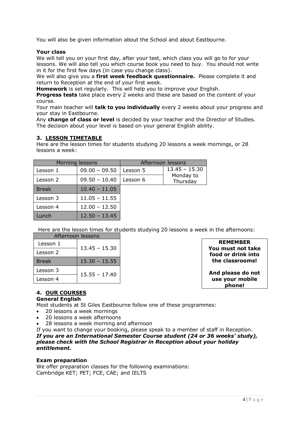You will also be given information about the School and about Eastbourne.

### **Your class**

We will tell you on your first day, after your test, which class you will go to for your lessons. We will also tell you which course book you need to buy. You should not write in it for the first few days (in case you change class).

We will also give you a **first week feedback questionnaire.** Please complete it and return to Reception at the end of your first week.

**Homework** is set regularly. This will help you to improve your English.

**Progress tests** take place every 2 weeks and these are based on the content of your course.

Your main teacher will **talk to you individually** every 2 weeks about your progress and your stay in Eastbourne.

Any **change of class or level** is decided by your teacher and the Director of Studies. The decision about your level is based on your general English ability.

## **3. LESSON TIMETABLE**

Here are the lesson times for students studying 20 lessons a week mornings, or 28 lessons a week:

| Morning lessons |                 |          | Afternoon lessons     |
|-----------------|-----------------|----------|-----------------------|
| Lesson 1        | $09.00 - 09.50$ | Lesson 5 | $13.45 - 15.30$       |
| Lesson 2        | $09.50 - 10.40$ | Lesson 6 | Monday to<br>Thursday |
| <b>Break</b>    | $10.40 - 11.05$ |          |                       |
| Lesson 3        | $11.05 - 11.55$ |          |                       |
| Lesson 4        | $12.00 - 12.50$ |          |                       |
| Lunch           | $12.50 - 13.45$ |          |                       |

Here are the lesson times for students studying 20 lessons a week in the afternoons:

| Afternoon lessons |                 |  |
|-------------------|-----------------|--|
| Lesson 1          | $13.45 - 15.30$ |  |
| Lesson 2          |                 |  |
| <b>Break</b>      | $15.30 - 15.55$ |  |
| Lesson 3          | $15.55 - 17.40$ |  |
| Lesson 4          |                 |  |

**REMEMBER You must not take food or drink into the classrooms!**

**And please do not use your mobile phone!**

# **4. OUR COURSES**

**General English**

Most students at St Giles Eastbourne follow one of these programmes:

- 20 lessons a week mornings
- 20 lessons a week afternoons
- 28 lessons a week morning and afternoon

If you want to change your booking, please speak to a member of staff in Reception. *If you are an International Semester Course student (24 or 36 weeks' study), please check with the School Registrar in Reception about your holiday entitlement.*

### **Exam preparation**

We offer preparation classes for the following examinations: Cambridge KET; PET; FCE, CAE; and IELTS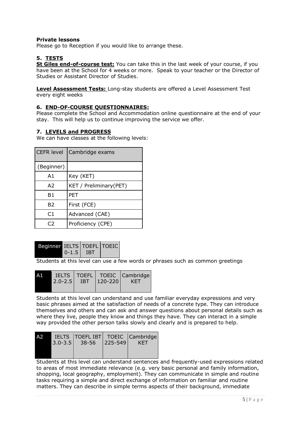## **Private lessons**

Please go to Reception if you would like to arrange these.

## **5. TESTS**

**St Giles end-of-course test:** You can take this in the last week of your course, if you have been at the School for 4 weeks or more. Speak to your teacher or the Director of Studies or Assistant Director of Studies.

**Level Assessment Tests:** Long-stay students are offered a Level Assessment Test every eight weeks

## **6. END-OF-COURSE QUESTIONNAIRES:**

Please complete the School and Accommodation online questionnaire at the end of your stay. This will help us to continue improving the service we offer.

### **7. LEVELS and PROGRESS**

We can have classes at the following levels:

| <b>CEFR level</b> | Cambridge exams         |
|-------------------|-------------------------|
| (Beginner)        |                         |
| A1                | Key (KET)               |
| A <sub>2</sub>    | KET / Preliminary (PET) |
| Β1                | <b>PET</b>              |
| B2                | First (FCE)             |
| C <sub>1</sub>    | Advanced (CAE)          |
| C <sub>2</sub>    | Proficiency (CPE)       |

| Beginner IELTS TOEFL TOEIC<br>$0 - 1.5$ IBT |  |  |
|---------------------------------------------|--|--|
|---------------------------------------------|--|--|

Students at this level can use a few words or phrases such as common greetings

|  |                               | AL IELTS   TOEFL   TOEIC   Cambridge |
|--|-------------------------------|--------------------------------------|
|  | $2.0 - 2.5$ IBT $ 120 - 220 $ | <b>KET</b>                           |
|  |                               |                                      |

Students at this level can understand and use familiar everyday expressions and very basic phrases aimed at the satisfaction of needs of a concrete type. They can introduce themselves and others and can ask and answer questions about personal details such as where they live, people they know and things they have. They can interact in a simple way provided the other person talks slowly and clearly and is prepared to help.

| A2 |             |       |               | IELTS   TOEFL IBT   TOEIC   Cambridge |
|----|-------------|-------|---------------|---------------------------------------|
|    | $3.0 - 3.5$ | 38-56 | $ 225 - 549 $ | KET                                   |
|    |             |       |               |                                       |
|    |             |       |               |                                       |

Students at this level can understand sentences and frequently-used expressions related to areas of most immediate relevance (e.g. very basic personal and family information, shopping, local geography, employment). They can communicate in simple and routine tasks requiring a simple and direct exchange of information on familiar and routine matters. They can describe in simple terms aspects of their background, immediate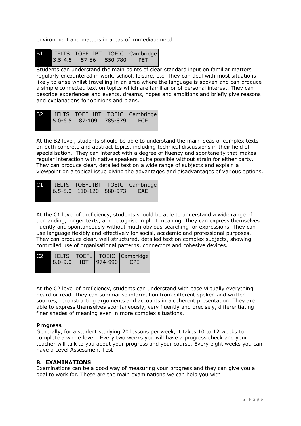environment and matters in areas of immediate need.

| <b>B1</b> | IELTS TOEFL IBT TOEIC Cambridge |       |
|-----------|---------------------------------|-------|
|           | $3.5 - 4.5$ 57-86 550-780       | - PET |

Students can understand the main points of clear standard input on familiar matters regularly encountered in work, school, leisure, etc. They can deal with most situations likely to arise whilst travelling in an area where the language is spoken and can produce a simple connected text on topics which are familiar or of personal interest. They can describe experiences and events, dreams, hopes and ambitions and briefly give reasons and explanations for opinions and plans.

| IELTS   TOEFL IBT   TOEIC   Cambridge  <br>B2<br>5.0-6.5 87-109 785-879 |
|-------------------------------------------------------------------------|
|-------------------------------------------------------------------------|

At the B2 level, students should be able to understand the main ideas of complex texts on both concrete and abstract topics, including technical discussions in their field of specialisation. They can interact with a degree of fluency and spontaneity that makes regular interaction with native speakers quite possible without strain for either party. They can produce clear, detailed text on a wide range of subjects and explain a viewpoint on a topical issue giving the advantages and disadvantages of various options.

| C T | 6.5-8.0   110-120   880-973 | IELTS   TOEFL IBT   TOEIC   Cambridge  <br><b>CAE</b> |
|-----|-----------------------------|-------------------------------------------------------|
|     |                             |                                                       |

At the C1 level of proficiency, students should be able to understand a wide range of demanding, longer texts, and recognise implicit meaning. They can express themselves fluently and spontaneously without much obvious searching for expressions. They can use language flexibly and effectively for social, academic and professional purposes. They can produce clear, well-structured, detailed text on complex subjects, showing controlled use of organisational patterns, connectors and cohesive devices.

| $8.0 - 9.0$ | <b>IBT</b> | $ 974 - 990 $ | IELTS   TOEFL   TOEIC   Cambridge  <br><b>CPE</b> |
|-------------|------------|---------------|---------------------------------------------------|
|             |            |               |                                                   |

At the C2 level of proficiency, students can understand with ease virtually everything heard or read. They can summarise information from different spoken and written sources, reconstructing arguments and accounts in a coherent presentation. They are able to express themselves spontaneously, very fluently and precisely, differentiating finer shades of meaning even in more complex situations.

## **Progress**

Generally, for a student studying 20 lessons per week, it takes 10 to 12 weeks to complete a whole level. Every two weeks you will have a progress check and your teacher will talk to you about your progress and your course. Every eight weeks you can have a Level Assessment Test

## **8. EXAMINATIONS**

Examinations can be a good way of measuring your progress and they can give you a goal to work for. These are the main examinations we can help you with: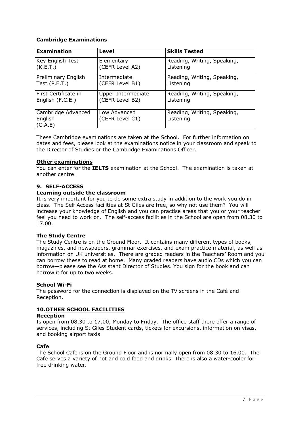## **Cambridge Examinations**

| <b>Examination</b>                       | Level                           | <b>Skills Tested</b>                     |
|------------------------------------------|---------------------------------|------------------------------------------|
| Key English Test                         | Elementary                      | Reading, Writing, Speaking,              |
| (K.E.T.)                                 | (CEFR Level A2)                 | Listening                                |
| Preliminary English                      | Intermediate                    | Reading, Writing, Speaking,              |
| Test (P.E.T.)                            | (CEFR Level B1)                 | Listening                                |
| First Certificate in                     | Upper Intermediate              | Reading, Writing, Speaking,              |
| English (F.C.E.)                         | (CEFR Level B2)                 | Listening                                |
| Cambridge Advanced<br>English<br>(C.A.E) | Low Advanced<br>(CEFR Level C1) | Reading, Writing, Speaking,<br>Listening |

These Cambridge examinations are taken at the School. For further information on dates and fees, please look at the examinations notice in your classroom and speak to the Director of Studies or the Cambridge Examinations Officer.

### **Other examinations**

You can enter for the **IELTS** examination at the School. The examination is taken at another centre.

## **9. SELF-ACCESS**

## **Learning outside the classroom**

It is very important for you to do some extra study in addition to the work you do in class. The Self Access facilities at St Giles are free, so why not use them? You will increase your knowledge of English and you can practise areas that you or your teacher feel you need to work on. The self-access facilities in the School are open from 08.30 to 17.00.

### **The Study Centre**

The Study Centre is on the Ground Floor. It contains many different types of books, magazines, and newspapers, grammar exercises, and exam practice material, as well as information on UK universities. There are graded readers in the Teachers' Room and you can borrow these to read at home. Many graded readers have audio CDs which you can borrow—please see the Assistant Director of Studies. You sign for the book and can borrow it for up to two weeks.

### **School Wi-Fi**

The password for the connection is displayed on the TV screens in the Café and Reception.

## **10.OTHER SCHOOL FACILITIES**

### **Reception**

Is open from 08.30 to 17.00, Monday to Friday. The office staff there offer a range of services, including St Giles Student cards, tickets for excursions, information on visas, and booking airport taxis

### **Cafe**

The School Cafe is on the Ground Floor and is normally open from 08.30 to 16.00. The Cafe serves a variety of hot and cold food and drinks. There is also a water-cooler for free drinking water.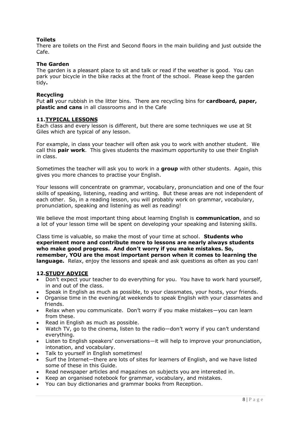## **Toilets**

There are toilets on the First and Second floors in the main building and just outside the Cafe.

### **The Garden**

The garden is a pleasant place to sit and talk or read if the weather is good. You can park your bicycle in the bike racks at the front of the school. Please keep the garden tidy**.**

### **Recycling**

Put **all** your rubbish in the litter bins. There are recycling bins for **cardboard, paper, plastic and cans** in all classrooms and in the Cafe

### **11.TYPICAL LESSONS**

Each class and every lesson is different, but there are some techniques we use at St Giles which are typical of any lesson.

For example, in class your teacher will often ask you to work with another student. We call this **pair work**. This gives students the maximum opportunity to use their English in class.

Sometimes the teacher will ask you to work in a **group** with other students. Again, this gives you more chances to practise your English.

Your lessons will concentrate on grammar, vocabulary, pronunciation and one of the four skills of speaking, listening, reading and writing. But these areas are not independent of each other. So, in a reading lesson, you will probably work on grammar, vocabulary, pronunciation, speaking and listening as well as reading!

We believe the most important thing about learning English is **communication**, and so a lot of your lesson time will be spent on developing your speaking and listening skills.

Class time is valuable, so make the most of your time at school. **Students who experiment more and contribute more to lessons are nearly always students who make good progress. And don't worry if you make mistakes. So, remember, YOU are the most important person when it comes to learning the language.** Relax, enjoy the lessons and speak and ask questions as often as you can!

### **12.STUDY ADVICE**

- Don't expect your teacher to do everything for you. You have to work hard yourself, in and out of the class.
- Speak in English as much as possible, to your classmates, your hosts, your friends.
- Organise time in the evening/at weekends to speak English with your classmates and friends.
- Relax when you communicate. Don't worry if you make mistakes—you can learn from these.
- Read in English as much as possible.
- Watch TV, go to the cinema, listen to the radio—don't worry if you can't understand everything.
- Listen to English speakers' conversations—it will help to improve your pronunciation, intonation, and vocabulary.
- Talk to yourself in English sometimes!
- Surf the Internet—there are lots of sites for learners of English, and we have listed some of these in this Guide.
- Read newspaper articles and magazines on subjects you are interested in.
- Keep an organised notebook for grammar, vocabulary, and mistakes.
- You can buy dictionaries and grammar books from Reception.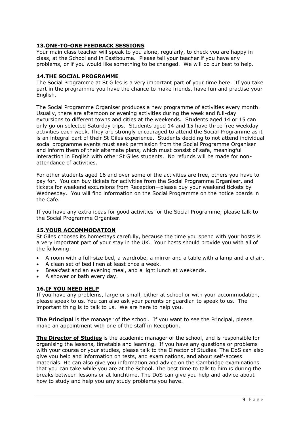## **13.ONE-TO-ONE FEEDBACK SESSIONS**

Your main class teacher will speak to you alone, regularly, to check you are happy in class, at the School and in Eastbourne. Please tell your teacher if you have any problems, or if you would like something to be changed. We will do our best to help.

### **14.THE SOCIAL PROGRAMME**

The Social Programme at St Giles is a very important part of your time here. If you take part in the programme you have the chance to make friends, have fun and practise your English.

The Social Programme Organiser produces a new programme of activities every month. Usually, there are afternoon or evening activities during the week and full-day excursions to different towns and cities at the weekends. Students aged 14 or 15 can only go on selected Saturday trips. Students aged 14 and 15 have three free weekday activities each week. They are strongly encouraged to attend the Social Programme as it is an integral part of their St Giles experience. Students deciding to not attend individual social programme events must seek permission from the Social Programme Organiser and inform them of their alternate plans, which must consist of safe, meaningful interaction in English with other St Giles students. No refunds will be made for nonattendance of activities.

For other students aged 16 and over some of the activities are free, others you have to pay for. You can buy tickets for activities from the Social Programme Organiser, and tickets for weekend excursions from Reception—please buy your weekend tickets by Wednesday. You will find information on the Social Programme on the notice boards in the Cafe.

If you have any extra ideas for good activities for the Social Programme, please talk to the Social Programme Organiser.

### **15.YOUR ACCOMMODATION**

St Giles chooses its homestays carefully, because the time you spend with your hosts is a very important part of your stay in the UK. Your hosts should provide you with all of the following:

- A room with a full-size bed, a wardrobe, a mirror and a table with a lamp and a chair.
- A clean set of bed linen at least once a week.
- Breakfast and an evening meal, and a light lunch at weekends.
- A shower or bath every day.

### **16.IF YOU NEED HELP**

If you have any problems, large or small, either at school or with your accommodation, please speak to us. You can also ask your parents or guardian to speak to us. The important thing is to talk to us. We are here to help you.

**The Principal** is the manager of the school. If you want to see the Principal, please make an appointment with one of the staff in Reception.

**The Director of Studies** is the academic manager of the school, and is responsible for organising the lessons, timetable and learning. If you have any questions or problems with your course or your studies, please talk to the Director of Studies. The DoS can also give you help and information on tests, and examinations, and about self-access materials. He can also give you information and advice on the Cambridge examinations that you can take while you are at the School. The best time to talk to him is during the breaks between lessons or at lunchtime. The DoS can give you help and advice about how to study and help you any study problems you have.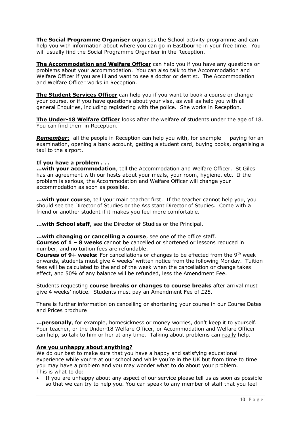**The Social Programme Organiser** organises the School activity programme and can help you with information about where you can go in Eastbourne in your free time. You will usually find the Social Programme Organiser in the Reception.

**The Accommodation and Welfare Officer** can help you if you have any questions or problems about your accommodation. You can also talk to the Accommodation and Welfare Officer if you are ill and want to see a doctor or dentist. The Accommodation and Welfare Officer works in Reception.

**The Student Services Officer** can help you if you want to book a course or change your course, or if you have questions about your visa, as well as help you with all general Enquiries, including registering with the police. She works in Reception.

**The Under-18 Welfare Officer** looks after the welfare of students under the age of 18. You can find them in Reception.

*Remember*: all the people in Reception can help you with, for example — paying for an examination, opening a bank account, getting a student card, buying books, organising a taxi to the airport.

### **If you have a problem . . .**

**...with your accommodation**, tell the Accommodation and Welfare Officer. St Giles has an agreement with our hosts about your meals, your room, hygiene, etc. If the problem is serious, the Accommodation and Welfare Officer will change your accommodation as soon as possible.

**...with your course**, tell your main teacher first. If the teacher cannot help you, you should see the Director of Studies or the Assistant Director of Studies. Come with a friend or another student if it makes you feel more comfortable.

**...with School staff**, see the Director of Studies or the Principal.

**...with changing or cancelling a course**, see one of the office staff.

**Courses of 1 – 8 weeks** cannot be cancelled or shortened or lessons reduced in number, and no tuition fees are refundable.

**Courses of 9+ weeks:** For cancellations or changes to be effected from the 9<sup>th</sup> week onwards, students must give 4 weeks' written notice from the following Monday. Tuition fees will be calculated to the end of the week when the cancellation or change takes effect, and 50% of any balance will be refunded, less the Amendment Fee.

Students requesting **course breaks or changes to course breaks** after arrival must give 4 weeks' notice. Students must pay an Amendment Fee of £25.

There is further information on cancelling or shortening your course in our Course Dates and Prices brochure

**...personally**, for example, homesickness or money worries, don't keep it to yourself. Your teacher, or the Under-18 Welfare Officer, or Accommodation and Welfare Officer can help, so talk to him or her at any time. Talking about problems can really help.

## **Are you unhappy about anything?**

We do our best to make sure that you have a happy and satisfying educational experience while you're at our school and while you're in the UK but from time to time you may have a problem and you may wonder what to do about your problem. This is what to do:

• If you are unhappy about any aspect of our service please tell us as soon as possible so that we can try to help you. You can speak to any member of staff that you feel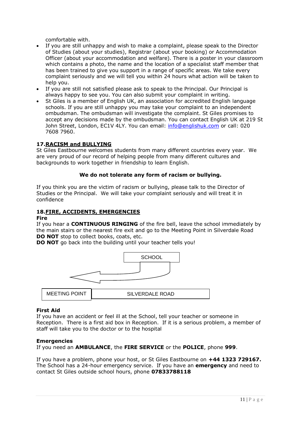comfortable with.

- If you are still unhappy and wish to make a complaint, please speak to the Director of Studies (about your studies), Registrar (about your booking) or Accommodation Officer (about your accommodation and welfare). There is a poster in your classroom which contains a photo, the name and the location of a specialist staff member that has been trained to give you support in a range of specific areas. We take every complaint seriously and we will tell you within 24 hours what action will be taken to help you.
- If you are still not satisfied please ask to speak to the Principal. Our Principal is always happy to see you. You can also submit your complaint in writing.
- St Giles is a member of English UK, an association for accredited English language schools. If you are still unhappy you may take your complaint to an independent ombudsman. The ombudsman will investigate the complaint. St Giles promises to accept any decisions made by the ombudsman. You can contact English UK at 219 St John Street, London, EC1V 4LY. You can email: [info@englishuk.com](mailto:info@englishuk.com) or call: 020 7608 7960.

### **17.RACISM and BULLYING**

St Giles Eastbourne welcomes students from many different countries every year. We are very proud of our record of helping people from many different cultures and backgrounds to work together in friendship to learn English.

### **We do not tolerate any form of racism or bullying.**

If you think you are the victim of racism or bullying, please talk to the Director of Studies or the Principal. We will take your complaint seriously and will treat it in confidence

### **18.FIRE, ACCIDENTS, EMERGENCIES**

### **Fire**

If you hear a **CONTINUOUS RINGING** of the fire bell, leave the school immediately by the main stairs or the nearest fire exit and go to the Meeting Point in Silverdale Road **DO NOT** stop to collect books, coats, etc.

**DO NOT** go back into the building until your teacher tells you!



### **First Aid**

If you have an accident or feel ill at the School, tell your teacher or someone in Reception. There is a first aid box in Reception. If it is a serious problem, a member of staff will take you to the doctor or to the hospital

### **Emergencies**

If you need an **AMBULANCE**, the **FIRE SERVICE** or the **POLICE**, phone **999**.

If you have a problem, phone your host, or St Giles Eastbourne on **+44 1323 729167.**  The School has a 24-hour emergency service. If you have an **emergency** and need to contact St Giles outside school hours, phone **07833788118**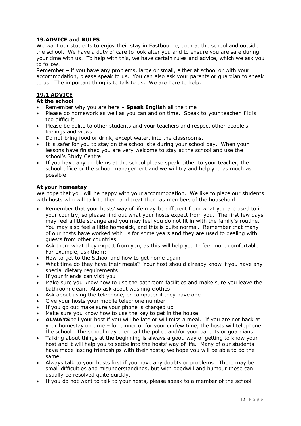## **19.ADVICE and RULES**

We want our students to enjoy their stay in Eastbourne, both at the school and outside the school. We have a duty of care to look after you and to ensure you are safe during your time with us. To help with this, we have certain rules and advice, which we ask you to follow.

Remember – if you have any problems, large or small, either at school or with your accommodation, please speak to us. You can also ask your parents or guardian to speak to us. The important thing is to talk to us. We are here to help.

## **19.1 ADVICE**

## **At the school**

- Remember why you are here **Speak English** all the time
- Please do homework as well as you can and on time. Speak to your teacher if it is too difficult
- Please be polite to other students and your teachers and respect other people's feelings and views
- Do not bring food or drink, except water, into the classrooms.
- It is safer for you to stay on the school site during your school day. When your lessons have finished you are very welcome to stay at the school and use the school's Study Centre
- If you have any problems at the school please speak either to your teacher, the school office or the school management and we will try and help you as much as possible

### **At your homestay**

We hope that you will be happy with your accommodation. We like to place our students with hosts who will talk to them and treat them as members of the household.

- Remember that your hosts' way of life may be different from what you are used to in your country, so please find out what your hosts expect from you. The first few days may feel a little strange and you may feel you do not fit in with the family's routine. You may also feel a little homesick, and this is quite normal. Remember that many of our hosts have worked with us for some years and they are used to dealing with guests from other countries.
- Ask them what they expect from you, as this will help you to feel more comfortable. For example, ask them:
- How to get to the School and how to get home again
- What time do they have their meals? Your host should already know if you have any special dietary requirements
- If your friends can visit you
- Make sure you know how to use the bathroom facilities and make sure you leave the bathroom clean. Also ask about washing clothes
- Ask about using the telephone, or computer if they have one
- Give your hosts your mobile telephone number
- If you go out make sure your phone is charged up
- Make sure you know how to use the key to get in the house
- **ALWAYS** tell your host if you will be late or will miss a meal. If you are not back at your homestay on time – for dinner or for your curfew time, the hosts will telephone the school. The school may then call the police and/or your parents or guardians
- Talking about things at the beginning is always a good way of getting to know your host and it will help you to settle into the hosts' way of life. Many of our students have made lasting friendships with their hosts; we hope you will be able to do the same.
- Always talk to your hosts first if you have any doubts or problems. There may be small difficulties and misunderstandings, but with goodwill and humour these can usually be resolved quite quickly.
- If you do not want to talk to your hosts, please speak to a member of the school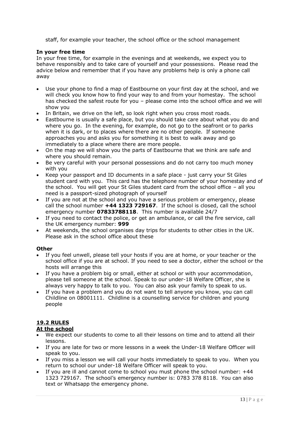staff, for example your teacher, the school office or the school management

### **In your free time**

In your free time, for example in the evenings and at weekends, we expect you to behave responsibly and to take care of yourself and your possessions. Please read the advice below and remember that if you have any problems help is only a phone call away

- Use your phone to find a map of Eastbourne on your first day at the school, and we will check you know how to find your way to and from your homestay. The school has checked the safest route for you – please come into the school office and we will show you
- In Britain, we drive on the left, so look right when you cross most roads.
- Eastbourne is usually a safe place, but you should take care about what you do and where you go. In the evening, for example, do not go to the seafront or to parks when it is dark, or to places where there are no other people. If someone approaches you and asks you for something it is best to walk away and go immediately to a place where there are more people.
- On the map we will show you the parts of Eastbourne that we think are safe and where you should remain.
- Be very careful with your personal possessions and do not carry too much money with you
- Keep your passport and ID documents in a safe place just carry your St Giles student card with you. This card has the telephone number of your homestay and of the school. You will get your St Giles student card from the school office – all you need is a passport-sized photograph of yourself
- If you are not at the school and you have a serious problem or emergency, please call the school number **+44 1323 729167**. If the school is closed, call the school emergency number **07833788118**. This number is available 24/7
- If you need to contact the police, or get an ambulance, or call the fire service, call the UK emergency number: **999**
- At weekends, the school organises day trips for students to other cities in the UK. Please ask in the school office about these

### **Other**

- If you feel unwell, please tell your hosts if you are at home, or your teacher or the school office if you are at school. If you need to see a doctor, either the school or the hosts will arrange this
- If you have a problem big or small, either at school or with your accommodation, please tell someone at the school. Speak to our under-18 Welfare Officer, she is always very happy to talk to you. You can also ask your family to speak to us.
- If you have a problem and you do not want to tell anyone you know, you can call Childline on 08001111. Childline is a counselling service for children and young people

## **19.2 RULES**

## **At the school**

- We expect our students to come to all their lessons on time and to attend all their lessons.
- If you are late for two or more lessons in a week the Under-18 Welfare Officer will speak to you.
- If you miss a lesson we will call your hosts immediately to speak to you. When you return to school our under-18 Welfare Officer will speak to you.
- If you are ill and cannot come to school you must phone the school number:  $+44$ 1323 729167. The school's emergency number is: 0783 378 8118. You can also text or Whatsapp the emergency phone.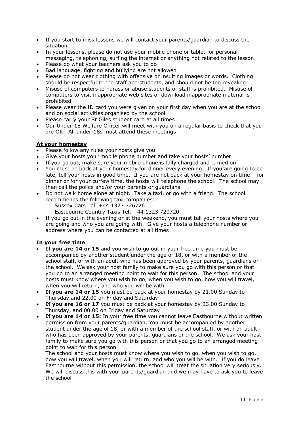- If you start to miss lessons we will contact your parents/guardian to discuss the situation
- In your lessons, please do not use your mobile phone or tablet for personal messaging, telephoning, surfing the internet or anything not related to the lesson
- Please do what your teachers ask you to do
- Bad language, fighting and bullying are not allowed
- Please do not wear clothing with offensive or insulting images or words. Clothing should be respectful to the staff and students, and should not be too revealing
- Misuse of computers to harass or abuse students or staff is prohibited. Misuse of computers to visit inappropriate web sites or download inappropriate material is prohibited
- Please wear the ID card you were given on your first day when you are at the school and on social activities organised by the school
- Please carry your St Giles student card at all times
- Our Under-18 Welfare Officer will meet with you on a regular basis to check that you are OK. All under-18s must attend these meetings

### **At your homestay**

- Please follow any rules your hosts give you
- Give your hosts your mobile phone number and take your hosts' number
- If you go out, make sure your mobile phone is fully charged and turned on
- You must be back at your homestay for dinner every evening. If you are going to be late, tell your hosts in good time. If you are not back at your homestay on time – for dinner or for your curfew time, the hosts will telephone the school. The school may then call the police and/or your parents or guardians
- Do not walk home alone at night. Take a taxi, or go with a friend. The school recommends the following taxi companies:
	- Sussex Cars Tel. +44 1323 726726
	- Eastbourne Country Taxis Tel. +44 1323 720720
- If you go out in the evening or at the weekend, you must tell your hosts where you are going and who you are going with. Give your hosts a telephone number or address where you can be contacted at all times

## **In your free time**

- **If you are 14 or 15** and you wish to go out in your free time you must be accompanied by another student under the age of 18, or with a member of the school staff, or with an adult who has been approved by your parents, guardians or the school. We ask your host family to make sure you go with this person or that you go to an arranged meeting point to wait for this person. The school and your hosts must know where you wish to go, when you wish to go, how you will travel, when you will return, and who you will be with.
- **If you are 14 or 15** you must be back at your homestay by 21.00 Sunday to Thursday and 22.00 on Friday and Saturday.
- **If you are 16 or 17** you must be back at your homestay by 23.00 Sunday to Thursday, and 00.00 on Friday and Saturday
- **If you are 14 or 15:** In your free time you cannot leave Eastbourne without written permission from your parents/guardian. You must be accompanied by another student under the age of 18, or with a member of the school staff, or with an adult who has been approved by your parents, guardians or the school. We ask your host family to make sure you go with this person or that you go to an arranged meeting point to wait for this person

The school and your hosts must know where you wish to go, when you wish to go, how you will travel, when you will return, and who you will be with. If you do leave Eastbourne without this permission, the school will treat the situation very seriously. We will discuss this with your parents/guardian and we may have to ask you to leave the school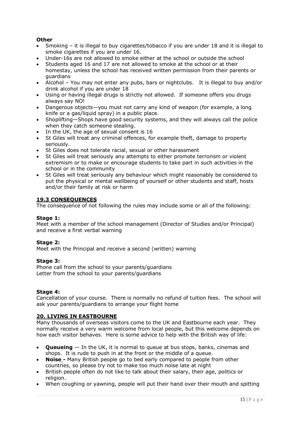## **Other**

- Smoking it is illegal to buy cigarettes/tobacco if you are under 18 and it is illegal to smoke cigarettes if you are under 16.
- Under-16s are not allowed to smoke either at the school or outside the school
- Students aged 16 and 17 are not allowed to smoke at the school or at their homestay, unless the school has received written permission from their parents or guardians
- Alcohol You may not enter any pubs, bars or nightclubs. It is illegal to buy and/or drink alcohol if you are under 18
- Using or having illegal drugs is strictly not allowed. If someone offers you drugs always say NO!
- Dangerous objects—you must not carry any kind of weapon (for example, a long knife or a gas/liquid spray) in a public place.
- Shoplifting—Shops have good security systems, and they will always call the police when they catch someone stealing.
- In the UK, the age of sexual consent is 16
- St Giles will treat any criminal offences, for example theft, damage to property seriously.
- St Giles does not tolerate racial, sexual or other harassment
- St Giles will treat seriously any attempts to either promote terrorism or violent extremism or to make or encourage students to take part in such activities in the school or in the community
- St Giles will treat seriously any behaviour which might reasonably be considered to put the physical or mental wellbeing of yourself or other students and staff, hosts and/or their family at risk or harm

### **19.3 CONSEQUENCES**

The consequence of not following the rules may include some or all of the following:

### **Stage 1:**

Meet with a member of the school management (Director of Studies and/or Principal) and receive a first verbal warning

### **Stage 2:**

Meet with the Principal and receive a second (written) warning

### **Stage 3:**

Phone call from the school to your parents/guardians Letter from the school to your parents/guardians

### **Stage 4:**

Cancellation of your course. There is normally no refund of tuition fees. The school will ask your parents/guardians to arrange your flight home

## **20. LIVING IN EASTBOURNE**

Many thousands of overseas visitors come to the UK and Eastbourne each year. They normally receive a very warm welcome from local people, but this welcome depends on how each visitor behaves. Here is some advice to help with the British way of life:

- **Queueing** In the UK, it is normal to queue at bus stops, banks, cinemas and shops. It is rude to push in at the front or the middle of a queue.
- **Noise -** Many British people go to bed early compared to people from other countries, so please try not to make too much noise late at night
- British people often do not like to talk about their salary, their age, politics or religion.
- When coughing or yawning, people will put their hand over their mouth and spitting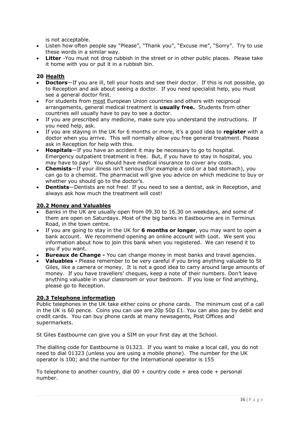is not acceptable.

- Listen how often people say "Please", "Thank you", "Excuse me", "Sorry". Try to use these words in a similar way.
- **Litter** -You must not drop rubbish in the street or in other public places. Please take it home with you or put it in a rubbish bin.

## **20 Health**

- **Doctors**—If you are ill, tell your hosts and see their doctor. If this is not possible, go to Reception and ask about seeing a doctor. If you need specialist help, you must see a general doctor first.
- For students from most European Union countries and others with reciprocal arrangements, general medical treatment is **usually free.** Students from other countries will usually have to pay to see a doctor.
- If you are prescribed any medicine, make sure you understand the instructions. If you need help, ask.
- If you are staying in the UK for 6 months or more, it's a good idea to **register** with a doctor when you arrive. This will normally allow you free general treatment. Please ask in Reception for help with this.
- **Hospitals**—If you have an accident it may be necessary to go to hospital. Emergency outpatient treatment is free. But, if you have to stay in hospital, you may have to pay! You should have medical insurance to cover any costs.
- **Chemists**—If your illness isn't serious (for example a cold or a bad stomach), you can go to a chemist. The pharmacist will give you advice on which medicine to buy or whether you should go to the doctor's.
- **Dentists**—Dentists are not free! If you need to see a dentist, ask in Reception, and always ask how much the treatment will cost!

## **20.2 Money and Valuables**

- Banks in the UK are usually open from 09.30 to 16.30 on weekdays, and some of them are open on Saturdays. Most of the big banks in Eastbourne are in Terminus Road, in the town centre.
- If you are going to stay in the UK for **6 months or longer**, you may want to open a bank account. We recommend opening an online account with Loot. We sent you information about how to join this bank when you registered. We can resend it to you if you want.
- **Bureaux de Change -** You can change money in most banks and travel agencies.
- **Valuables -** Please remember to be very careful if you bring anything valuable to St Giles, like a camera or money. It is not a good idea to carry around large amounts of money. If you have travellers' cheques, keep a note of their numbers. Don't leave anything valuable in your classroom or your bedroom. If you lose or find anything, please go to Reception.

### **20.3 Telephone information**

Public telephones in the UK take either coins or phone cards. The minimum cost of a call in the UK is 60 pence. Coins you can use are 20p 50p  $£1$ . You can also pay by debit and credit cards. You can buy phone cards at many newsagents, Post Offices and supermarkets.

St Giles Eastbourne can give you a SIM on your first day at the School.

The dialling code for Eastbourne is 01323. If you want to make a local call, you do not need to dial 01323 (unless you are using a mobile phone). The number for the UK operator is 100; and the number for the International operator is 155

To telephone to another country, dial  $00 +$  country code + area code + personal number.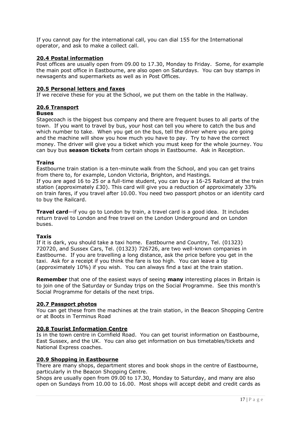If you cannot pay for the international call, you can dial 155 for the International operator, and ask to make a collect call.

### **20.4 Postal information**

Post offices are usually open from 09.00 to 17.30, Monday to Friday. Some, for example the main post office in Eastbourne, are also open on Saturdays. You can buy stamps in newsagents and supermarkets as well as in Post Offices.

### **20.5 Personal letters and faxes**

If we receive these for you at the School, we put them on the table in the Hallway.

### **20.6 Transport**

### **Buses**

Stagecoach is the biggest bus company and there are frequent buses to all parts of the town. If you want to travel by bus, your host can tell you where to catch the bus and which number to take. When you get on the bus, tell the driver where you are going and the machine will show you how much you have to pay. Try to have the correct money. The driver will give you a ticket which you must keep for the whole journey. You can buy bus **season tickets** from certain shops in Eastbourne. Ask in Reception.

### **Trains**

Eastbourne train station is a ten-minute walk from the School, and you can get trains from there to, for example, London Victoria, Brighton, and Hastings. If you are aged 16 to 25 or a full-time student, you can buy a 16-25 Railcard at the train station (approximately £30). This card will give you a reduction of approximately 33% on train fares, if you travel after 10.00. You need two passport photos or an identity card to buy the Railcard.

**Travel card**—if you go to London by train, a travel card is a good idea. It includes return travel to London and free travel on the London Underground and on London buses.

### **Taxis**

If it is dark, you should take a taxi home. Eastbourne and Country, Tel. (01323) 720720, and Sussex Cars, Tel. (01323) 726726, are two well-known companies in Eastbourne. If you are travelling a long distance, ask the price before you get in the taxi. Ask for a receipt if you think the fare is too high. You can leave a tip (approximately 10%) if you wish. You can always find a taxi at the train station.

**Remember** that one of the easiest ways of seeing **many** interesting places in Britain is to join one of the Saturday or Sunday trips on the Social Programme. See this month's Social Programme for details of the next trips.

### **20.7 Passport photos**

You can get these from the machines at the train station, in the Beacon Shopping Centre or at Boots in Terminus Road

### **20.8 Tourist Information Centre**

Is in the town centre in Cornfield Road. You can get tourist information on Eastbourne, East Sussex, and the UK. You can also get information on bus timetables/tickets and National Express coaches.

### **20.9 Shopping in Eastbourne**

There are many shops, department stores and book shops in the centre of Eastbourne, particularly in the Beacon Shopping Centre.

Shops are usually open from 09.00 to 17.30, Monday to Saturday, and many are also open on Sundays from 10.00 to 16.00. Most shops will accept debit and credit cards as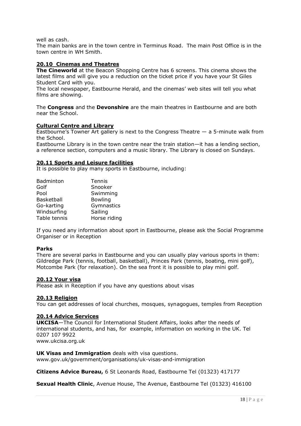well as cash.

The main banks are in the town centre in Terminus Road. The main Post Office is in the town centre in WH Smith.

### **20.10 Cinemas and Theatres**

**The Cineworld** at the Beacon Shopping Centre has 6 screens. This cinema shows the latest films and will give you a reduction on the ticket price if you have your St Giles Student Card with you.

The local newspaper, Eastbourne Herald, and the cinemas' web sites will tell you what films are showing.

The **Congress** and the **Devonshire** are the main theatres in Eastbourne and are both near the School.

### **Cultural Centre and Library**

Eastbourne's Towner Art gallery is next to the Congress Theatre — a 5-minute walk from the School.

Eastbourne Library is in the town centre near the train station—it has a lending section, a reference section, computers and a music library. The Library is closed on Sundays.

### **20.11 Sports and Leisure facilities**

It is possible to play many sports in Eastbourne, including:

| Badminton         | Tennis         |
|-------------------|----------------|
| Golf              | Snooker        |
| Pool              | Swimming       |
| <b>Basketball</b> | <b>Bowling</b> |
| Go-karting        | Gymnastics     |
| Windsurfing       | Sailing        |
| Table tennis      | Horse riding   |

If you need any information about sport in Eastbourne, please ask the Social Programme Organiser or in Reception

### **Parks**

There are several parks in Eastbourne and you can usually play various sports in them: Gildredge Park (tennis, football, basketball), Princes Park (tennis, boating, mini golf), Motcombe Park (for relaxation). On the sea front it is possible to play mini golf.

### **20.12 Your visa**

Please ask in Reception if you have any questions about visas

### **20.13 Religion**

You can get addresses of local churches, mosques, synagogues, temples from Reception

### **20.14 Advice Services**

**UKCISA**—The Council for International Student Affairs, looks after the needs of international students, and has, for example, information on working in the UK. Tel 0207 107 9922

www.ukcisa.org.uk

### **UK Visas and Immigration** deals with visa questions.

www.gov.uk/government/organisations/uk-visas-and-immigration

**Citizens Advice Bureau,** 6 St Leonards Road, Eastbourne Tel (01323) 417177

**Sexual Health Clinic**, Avenue House, The Avenue, Eastbourne Tel (01323) 416100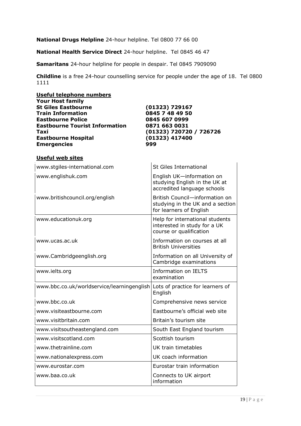**National Drugs Helpline** 24-hour helpline. Tel 0800 77 66 00

**National Health Service Direct** 24-hour helpline. Tel 0845 46 47

**Samaritans** 24-hour helpline for people in despair. Tel 0845 7909090

**Childline** is a free 24-hour counselling service for people under the age of 18. Tel 0800 1111

| Useful telephone numbers              |                         |
|---------------------------------------|-------------------------|
| <b>Your Host family</b>               |                         |
| <b>St Giles Eastbourne</b>            | $(01323)$ 729167        |
| <b>Train Information</b>              | 0845 7 48 49 50         |
| <b>Eastbourne Police</b>              | 0845 607 0999           |
| <b>Eastbourne Tourist Information</b> | 0871 663 0031           |
| Taxi                                  | (01323) 720720 / 726726 |
| <b>Eastbourne Hospital</b>            | (01323) 417400          |
| <b>Emergencies</b>                    | 999                     |

## **Useful web sites**

| www.stgiles-international.com              | <b>St Giles International</b>                                                                 |
|--------------------------------------------|-----------------------------------------------------------------------------------------------|
| www.englishuk.com                          | English UK-information on<br>studying English in the UK at<br>accredited language schools     |
| www.britishcouncil.org/english             | British Council-information on<br>studying in the UK and a section<br>for learners of English |
| www.educationuk.org                        | Help for international students<br>interested in study for a UK<br>course or qualification    |
| www.ucas.ac.uk                             | Information on courses at all<br><b>British Universities</b>                                  |
| www.Cambridgeenglish.org                   | Information on all University of<br>Cambridge examinations                                    |
| www.ielts.org                              | <b>Information on IELTS</b><br>examination                                                    |
| www.bbc.co.uk/worldservice/learningenglish | Lots of practice for learners of<br>English                                                   |
| www.bbc.co.uk                              | Comprehensive news service                                                                    |
| www.visiteastbourne.com                    | Eastbourne's official web site                                                                |
| www.visitbritain.com                       | Britain's tourism site                                                                        |
| www.visitsoutheastengland.com              | South East England tourism                                                                    |
| www.visitscotland.com                      | Scottish tourism                                                                              |
| www.thetrainline.com                       | UK train timetables                                                                           |
| www.nationalexpress.com                    | UK coach information                                                                          |
| www.eurostar.com                           | Eurostar train information                                                                    |
| www.baa.co.uk                              | Connects to UK airport<br>information                                                         |
|                                            |                                                                                               |